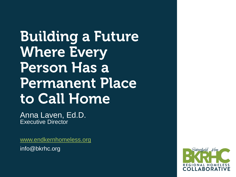**Building a Future Where Every Person Has a Permanent Place** to Call Home

Anna Laven, Ed.D. Executive Director

[www.endkernhomeless.org](http://www.endkernhomeless.org/) info@bkrhc.org

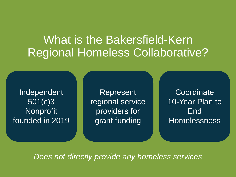#### What is the Bakersfield-Kern Regional Homeless Collaborative?

Independent 501(c)3 Nonprofit founded in 2019

**Represent** regional service providers for grant funding

**Coordinate** 10-Year Plan to End Homelessness

*Does not directly provide any homeless services*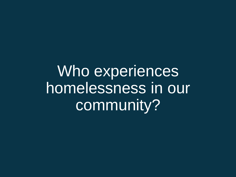Who experiences homelessness in our community?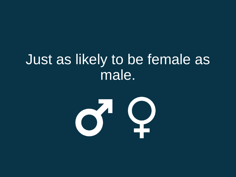# Just as likely to be female as male.

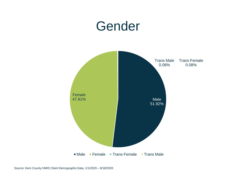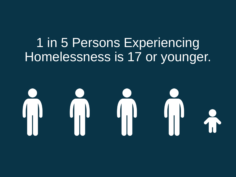# 1 in 5 Persons Experiencing Homelessness is 17 or younger.

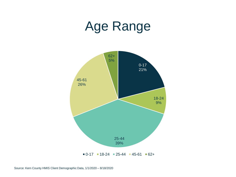# Age Range

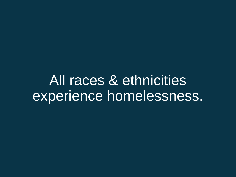All races & ethnicities experience homelessness.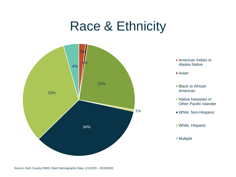# Race & Ethnicity



- **American Indian or** Alaska Native
- Asian
- **Black or African** American
- **Native Hawaiian or** Other Pacific Islander
- White, Non-Hispanic
- White, Hispanic
- Multiple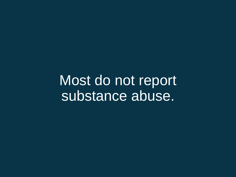Most do not report substance abuse.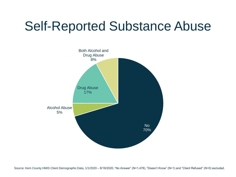# Self-Reported Substance Abuse



Source: Kern County HMIS Client Demographic Data, 1/1/2020 – 8/18/2020, "No Answer" (N=1,478), "Doesn't Know" (N=1) and "Client Refused" (N=0) excluded.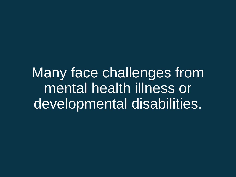Many face challenges from mental health illness or developmental disabilities.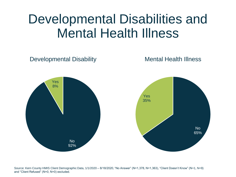## Developmental Disabilities and Mental Health Illness



Source: Kern County HMIS Client Demographic Data, 1/1/2020 – 8/18/2020, "No Answer" (N=1,378, N=1,363), "Client Doesn't Know" (N=1, N=9) and "Client Refused" (N=0, N=0) excluded.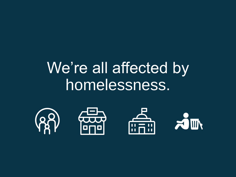# We're all affected by homelessness.

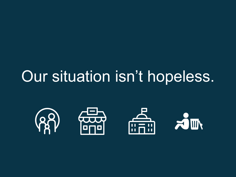# Our situation isn't hopeless.

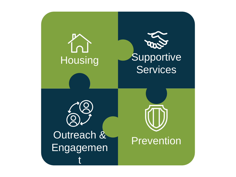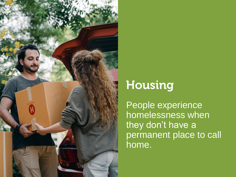

#### Housing

People experience homelessness when they don't have a permanent place to call home.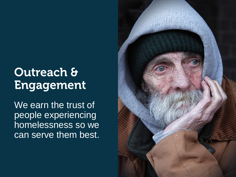#### **Outreach & Engagement**

We earn the trust of people experiencing homelessness so we can serve them best.

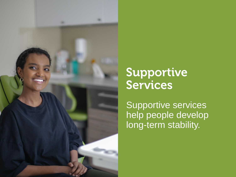

#### Supportive **Services**

Supportive services help people develop long-term stability.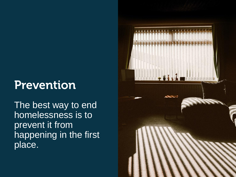#### **Prevention**

The best way to end homelessness is to prevent it from happening in the first place.

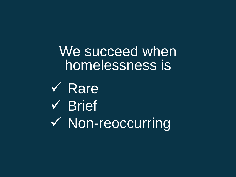We succeed when homelessness is

✓ Rare ✓ Brief ✓ Non-reoccurring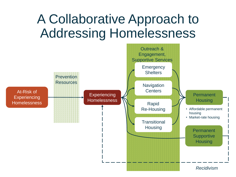# A Collaborative Approach to Addressing Homelessness

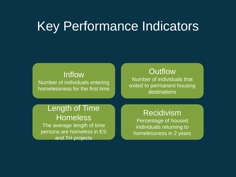## Key Performance Indicators

#### Inflow

Number of individuals entering homelessness for the first time

#### **Outflow**

Number of individuals that exited to permanent housing destinations

#### Length of Time **Homeless**

The average length of time persons are homeless in ES and TH projects

#### Recidivism

Percentage of housed individuals returning to homelessness in 2 years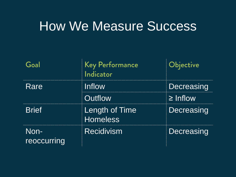#### How We Measure Success

| Goal                | <b>Key Performance</b><br>Indicator | Objective     |
|---------------------|-------------------------------------|---------------|
| Rare                | Inflow                              | Decreasing    |
|                     | Outflow                             | $\geq$ Inflow |
| <b>Brief</b>        | Length of Time<br><b>Homeless</b>   | Decreasing    |
| Non-<br>reoccurring | <b>Recidivism</b>                   | Decreasing    |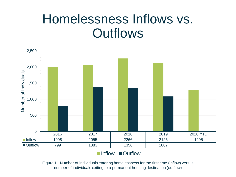## Homelessness Inflows vs. **Outflows**



■Inflow ■Outflow

Figure 1. Number of individuals entering homelessness for the first time (inflow) versus number of individuals exiting to a permanent housing destination (outflow)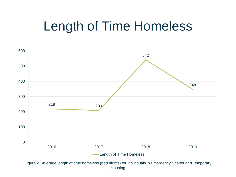# Length of Time Homeless



Figure 2. Average length of time homeless (bed nights) for individuals in Emergency Shelter and Temporary **Housing**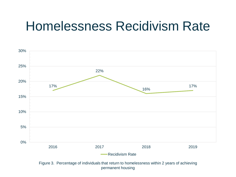# Homelessness Recidivism Rate

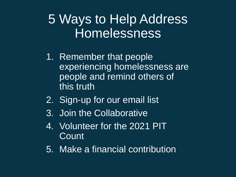## 5 Ways to Help Address Homelessness

- 1. Remember that people experiencing homelessness are people and remind others of this truth
- 2. Sign-up for our email list
- 3. Join the Collaborative
- 4. Volunteer for the 2021 PIT **Count**
- 5. Make a financial contribution